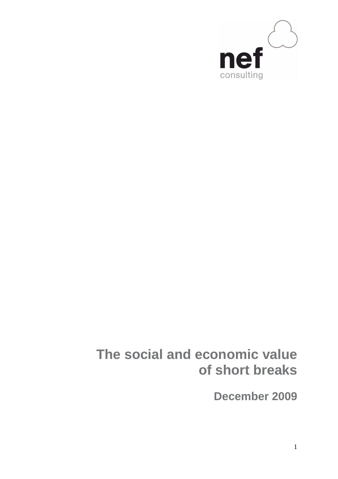

# **The social and economic value of short breaks**

**December 2009**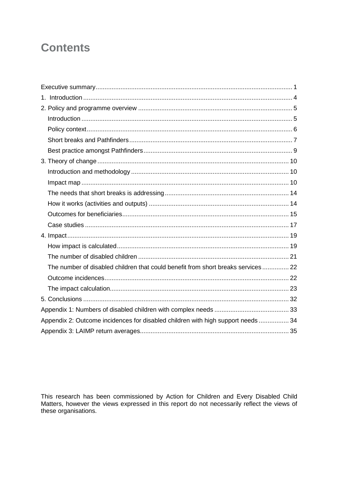## **Contents**

| The number of disabled children that could benefit from short breaks services 22 |  |
|----------------------------------------------------------------------------------|--|
|                                                                                  |  |
|                                                                                  |  |
|                                                                                  |  |
|                                                                                  |  |
| Appendix 2: Outcome incidences for disabled children with high support needs 34  |  |
|                                                                                  |  |

This research has been commissioned by Action for Children and Every Disabled Child Matters, however the views expressed in this report do not necessarily reflect the views of these organisations.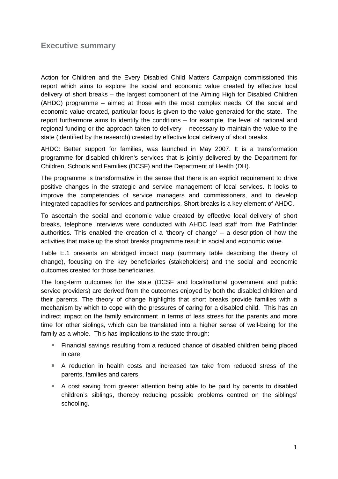### **Executive summary**

Action for Children and the Every Disabled Child Matters Campaign commissioned this report which aims to explore the social and economic value created by effective local delivery of short breaks – the largest component of the Aiming High for Disabled Children (AHDC) programme – aimed at those with the most complex needs. Of the social and economic value created, particular focus is given to the value generated for the state. The report furthermore aims to identify the conditions – for example, the level of national and regional funding or the approach taken to delivery – necessary to maintain the value to the state (identified by the research) created by effective local delivery of short breaks.

AHDC: Better support for families, was launched in May 2007. It is a transformation programme for disabled children's services that is jointly delivered by the Department for Children, Schools and Families (DCSF) and the Department of Health (DH).

The programme is transformative in the sense that there is an explicit requirement to drive positive changes in the strategic and service management of local services. It looks to improve the competencies of service managers and commissioners, and to develop integrated capacities for services and partnerships. Short breaks is a key element of AHDC.

To ascertain the social and economic value created by effective local delivery of short breaks, telephone interviews were conducted with AHDC lead staff from five Pathfinder authorities. This enabled the creation of a 'theory of change' – a description of how the activities that make up the short breaks programme result in social and economic value.

Table E.1 presents an abridged impact map (summary table describing the theory of change), focusing on the key beneficiaries (stakeholders) and the social and economic outcomes created for those beneficiaries.

The long-term outcomes for the state (DCSF and local/national government and public service providers) are derived from the outcomes enjoyed by both the disabled children and their parents. The theory of change highlights that short breaks provide families with a mechanism by which to cope with the pressures of caring for a disabled child. This has an indirect impact on the family environment in terms of less stress for the parents and more time for other siblings, which can be translated into a higher sense of well-being for the family as a whole. This has implications to the state through:

- Financial savings resulting from a reduced chance of disabled children being placed in care.
- A reduction in health costs and increased tax take from reduced stress of the parents, families and carers.
- A cost saving from greater attention being able to be paid by parents to disabled children's siblings, thereby reducing possible problems centred on the siblings' schooling.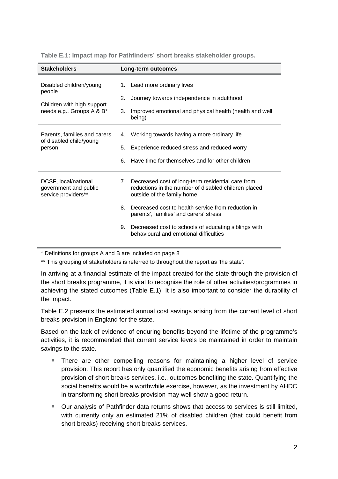| <b>Stakeholders</b>                                                  | Long-term outcomes                                                                                                                            |
|----------------------------------------------------------------------|-----------------------------------------------------------------------------------------------------------------------------------------------|
| Disabled children/young<br>people<br>Children with high support      | 1. Lead more ordinary lives<br>2.<br>Journey towards independence in adulthood                                                                |
| needs e.g., Groups A & B*                                            | 3.<br>Improved emotional and physical health (health and well<br>being)                                                                       |
| Parents, families and carers<br>of disabled child/young<br>person    | Working towards having a more ordinary life<br>4.<br>5.<br>Experience reduced stress and reduced worry                                        |
|                                                                      | Have time for themselves and for other children<br>6.                                                                                         |
| DCSF, local/national<br>government and public<br>service providers** | Decreased cost of long-term residential care from<br>7.<br>reductions in the number of disabled children placed<br>outside of the family home |
|                                                                      | Decreased cost to health service from reduction in<br>8.<br>parents', families' and carers' stress                                            |
|                                                                      | Decreased cost to schools of educating siblings with<br>9.<br>behavioural and emotional difficulties                                          |

**Table E.1: Impact map for Pathfinders' short breaks stakeholder groups.** 

\* Definitions for groups A and B are included on page 8

\*\* This grouping of stakeholders is referred to throughout the report as 'the state'.

In arriving at a financial estimate of the impact created for the state through the provision of the short breaks programme, it is vital to recognise the role of other activities/programmes in achieving the stated outcomes (Table E.1). It is also important to consider the durability of the impact.

Table E.2 presents the estimated annual cost savings arising from the current level of short breaks provision in England for the state.

Based on the lack of evidence of enduring benefits beyond the lifetime of the programme's activities, it is recommended that current service levels be maintained in order to maintain savings to the state.

- There are other compelling reasons for maintaining a higher level of service provision. This report has only quantified the economic benefits arising from effective provision of short breaks services, i.e., outcomes benefiting the state. Quantifying the social benefits would be a worthwhile exercise, however, as the investment by AHDC in transforming short breaks provision may well show a good return.
- Our analysis of Pathfinder data returns shows that access to services is still limited, with currently only an estimated 21% of disabled children (that could benefit from short breaks) receiving short breaks services.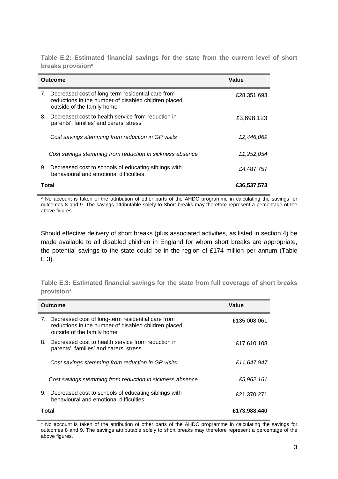**Table E.2: Estimated financial savings for the state from the current level of short breaks provision\***

|       | <b>Outcome</b>                                                                                                                             | Value       |
|-------|--------------------------------------------------------------------------------------------------------------------------------------------|-------------|
|       | 7. Decreased cost of long-term residential care from<br>reductions in the number of disabled children placed<br>outside of the family home | £28,351,693 |
|       | 8. Decreased cost to health service from reduction in<br>parents', families' and carers' stress                                            | £3,698,123  |
|       | Cost savings stemming from reduction in GP visits                                                                                          | £2.446.069  |
|       | Cost savings stemming from reduction in sickness absence                                                                                   | £1,252,054  |
|       | 9. Decreased cost to schools of educating siblings with<br>behavioural and emotional difficulties.                                         | £4,487,757  |
| Total |                                                                                                                                            | £36,537,573 |

\* No account is taken of the attribution of other parts of the AHDC programme in calculating the savings for outcomes 8 and 9. The savings attributable solely to Short breaks may therefore represent a percentage of the above figures.

Should effective delivery of short breaks (plus associated activities, as listed in section 4) be made available to all disabled children in England for whom short breaks are appropriate, the potential savings to the state could be in the region of £174 million per annum (Table E.3).

**Table E.3: Estimated financial savings for the state from full coverage of short breaks provision\***

|       | Outcome                                                                                                                                 | Value        |
|-------|-----------------------------------------------------------------------------------------------------------------------------------------|--------------|
| 7.    | Decreased cost of long-term residential care from<br>reductions in the number of disabled children placed<br>outside of the family home | £135,008,061 |
|       | 8. Decreased cost to health service from reduction in<br>parents', families' and carers' stress                                         | £17,610,108  |
|       | Cost savings stemming from reduction in GP visits                                                                                       | £11,647,947  |
|       | Cost savings stemming from reduction in sickness absence                                                                                | £5,962,161   |
| 9.    | Decreased cost to schools of educating siblings with<br>behavioural and emotional difficulties.                                         | £21,370,271  |
| Total |                                                                                                                                         | £173,988,440 |

\* No account is taken of the attribution of other parts of the AHDC programme in calculating the savings for outcomes 8 and 9. The savings attributable solely to short breaks may therefore represent a percentage of the above figures.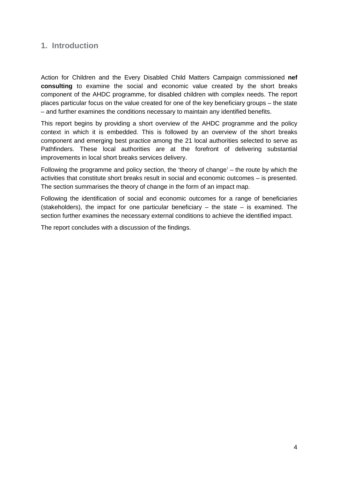## **1. Introduction**

Action for Children and the Every Disabled Child Matters Campaign commissioned **nef consulting** to examine the social and economic value created by the short breaks component of the AHDC programme, for disabled children with complex needs. The report places particular focus on the value created for one of the key beneficiary groups – the state – and further examines the conditions necessary to maintain any identified benefits.

This report begins by providing a short overview of the AHDC programme and the policy context in which it is embedded. This is followed by an overview of the short breaks component and emerging best practice among the 21 local authorities selected to serve as Pathfinders. These local authorities are at the forefront of delivering substantial improvements in local short breaks services delivery.

Following the programme and policy section, the 'theory of change' – the route by which the activities that constitute short breaks result in social and economic outcomes – is presented. The section summarises the theory of change in the form of an impact map.

Following the identification of social and economic outcomes for a range of beneficiaries (stakeholders), the impact for one particular beneficiary  $-$  the state  $-$  is examined. The section further examines the necessary external conditions to achieve the identified impact.

The report concludes with a discussion of the findings.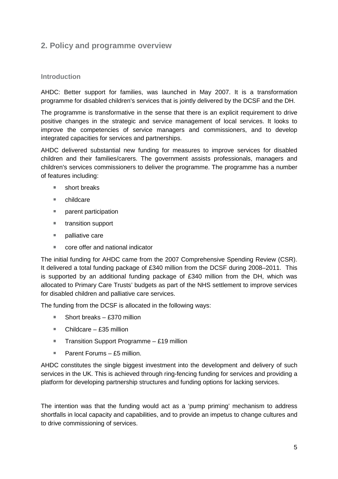## **2. Policy and programme overview**

#### **Introduction**

AHDC: Better support for families, was launched in May 2007. It is a transformation programme for disabled children's services that is jointly delivered by the DCSF and the DH.

The programme is transformative in the sense that there is an explicit requirement to drive positive changes in the strategic and service management of local services. It looks to improve the competencies of service managers and commissioners, and to develop integrated capacities for services and partnerships.

AHDC delivered substantial new funding for measures to improve services for disabled children and their families/carers. The government assists professionals, managers and children's services commissioners to deliver the programme. The programme has a number of features including:

- short breaks
- childcare
- **Parent participation**
- **transition support**
- $\blacksquare$  palliative care
- core offer and national indicator

The initial funding for AHDC came from the 2007 Comprehensive Spending Review (CSR). It delivered a total funding package of £340 million from the DCSF during 2008–2011. This is supported by an additional funding package of £340 million from the DH, which was allocated to Primary Care Trusts' budgets as part of the NHS settlement to improve services for disabled children and palliative care services.

The funding from the DCSF is allocated in the following ways:

- Short breaks £370 million
- $\blacksquare$  Childcare £35 million
- **Transition Support Programme £19 million**
- Parent Forums £5 million.

AHDC constitutes the single biggest investment into the development and delivery of such services in the UK. This is achieved through ring-fencing funding for services and providing a platform for developing partnership structures and funding options for lacking services.

The intention was that the funding would act as a 'pump priming' mechanism to address shortfalls in local capacity and capabilities, and to provide an impetus to change cultures and to drive commissioning of services.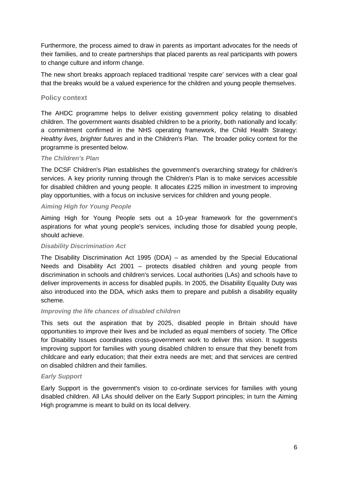Furthermore, the process aimed to draw in parents as important advocates for the needs of their families, and to create partnerships that placed parents as real participants with powers to change culture and inform change.

The new short breaks approach replaced traditional 'respite care' services with a clear goal that the breaks would be a valued experience for the children and young people themselves.

#### **Policy context**

The AHDC programme helps to deliver existing government policy relating to disabled children. The government wants disabled children to be a priority, both nationally and locally: a commitment confirmed in the NHS operating framework, the Child Health Strategy: Healthy lives, brighter futures and in the Children's Plan. The broader policy context for the programme is presented below.

#### **The Children's Plan**

The DCSF Children's Plan establishes the government's overarching strategy for children's services. A key priority running through the Children's Plan is to make services accessible for disabled children and young people. It allocates £225 million in investment to improving play opportunities, with a focus on inclusive services for children and young people.

#### **Aiming High for Young People**

Aiming High for Young People sets out a 10-year framework for the government's aspirations for what young people's services, including those for disabled young people, should achieve.

#### **Disability Discrimination Act**

The Disability Discrimination Act 1995 (DDA) – as amended by the Special Educational Needs and Disability Act 2001 – protects disabled children and young people from discrimination in schools and children's services. Local authorities (LAs) and schools have to deliver improvements in access for disabled pupils. In 2005, the Disability Equality Duty was also introduced into the DDA, which asks them to prepare and publish a disability equality scheme.

#### **Improving the life chances of disabled children**

This sets out the aspiration that by 2025, disabled people in Britain should have opportunities to improve their lives and be included as equal members of society. The Office for Disability Issues coordinates cross-government work to deliver this vision. It suggests improving support for families with young disabled children to ensure that they benefit from childcare and early education; that their extra needs are met; and that services are centred on disabled children and their families.

#### **Early Support**

Early Support is the government's vision to co-ordinate services for families with young disabled children. All LAs should deliver on the Early Support principles; in turn the Aiming High programme is meant to build on its local delivery.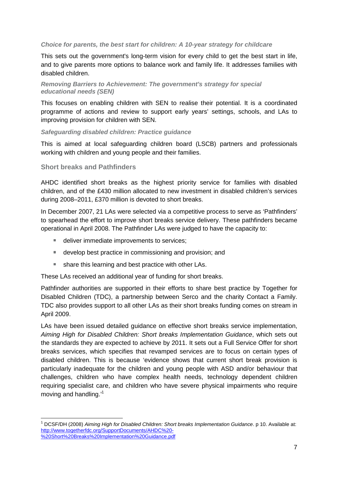#### **Choice for parents, the best start for children: A 10-year strategy for childcare**

This sets out the government's long-term vision for every child to get the best start in life, and to give parents more options to balance work and family life. It addresses families with disabled children.

#### **Removing Barriers to Achievement: The government's strategy for special educational needs (SEN)**

This focuses on enabling children with SEN to realise their potential. It is a coordinated programme of actions and review to support early years' settings, schools, and LAs to improving provision for children with SEN.

#### **Safeguarding disabled children: Practice guidance**

This is aimed at local safeguarding children board (LSCB) partners and professionals working with children and young people and their families.

#### **Short breaks and Pathfinders**

AHDC identified short breaks as the highest priority service for families with disabled children, and of the £430 million allocated to new investment in disabled children's services during 2008–2011, £370 million is devoted to short breaks.

In December 2007, 21 LAs were selected via a competitive process to serve as 'Pathfinders' to spearhead the effort to improve short breaks service delivery. These pathfinders became operational in April 2008. The Pathfinder LAs were judged to have the capacity to:

- deliver immediate improvements to services;
- develop best practice in commissioning and provision; and
- share this learning and best practice with other LAs.

These LAs received an additional year of funding for short breaks.

Pathfinder authorities are supported in their efforts to share best practice by Together for Disabled Children (TDC), a partnership between Serco and the charity Contact a Family. TDC also provides support to all other LAs as their short breaks funding comes on stream in April 2009.

LAs have been issued detailed guidance on effective short breaks service implementation, Aiming High for Disabled Children: Short breaks Implementation Guidance, which sets out the standards they are expected to achieve by 2011. It sets out a Full Service Offer for short breaks services, which specifies that revamped services are to focus on certain types of disabled children. This is because 'evidence shows that current short break provision is particularly inadequate for the children and young people with ASD and/or behaviour that challenges, children who have complex health needs, technology dependent children requiring specialist care, and children who have severe physical impairments who require moving and handling.'<sup>1</sup>

 $\overline{a}$ <sup>1</sup> DCSF/DH (2008) Aiming High for Disabled Children: Short breaks Implementation Guidance. p 10. Available at: http://www.togetherfdc.org/SupportDocuments/AHDC%20- %20Short%20Breaks%20Implementation%20Guidance.pdf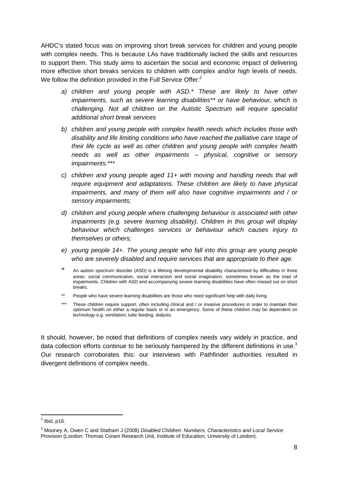AHDC's stated focus was on improving short break services for children and young people with complex needs. This is because LAs have traditionally lacked the skills and resources to support them. This study aims to ascertain the social and economic impact of delivering more effective short breaks services to children with complex and/or high levels of needs. We follow the definition provided in the Full Service Offer:<sup>2</sup>

- a) children and young people with ASD.\* These are likely to have other impairments, such as severe learning disabilities\*\* or have behaviour, which is challenging. Not all children on the Autistic Spectrum will require specialist additional short break services
- b) children and young people with complex health needs which includes those with disability and life limiting conditions who have reached the palliative care stage of their life cycle as well as other children and young people with complex health needs as well as other impairments – physical, cognitive or sensory impairments.\*\*\*
- c) children and young people aged 11+ with moving and handling needs that will require equipment and adaptations. These children are likely to have physical impairments, and many of them will also have cognitive impairments and / or sensory impairments;
- d) children and young people where challenging behaviour is associated with other impairments (e.g. severe learning disability). Children in this group will display behaviour which challenges services or behaviour which causes injury to themselves or others;
- e) young people 14+. The young people who fall into this group are young people who are severely disabled and require services that are appropriate to their age.
- An autism spectrum disorder (ASD) is a lifelong developmental disability characterised by difficulties in three areas: social communication, social interaction and social imagination, sometimes known as the triad of impairments. Children with ASD and accompanying severe learning disabilities have often missed out on short breaks.
- People who have severe learning disabilities are those who need significant help with daily living.
- These children require support, often including clinical and / or invasive procedures in order to maintain their optimum health on either a regular basis or in an emergency. Some of these children may be dependent on technology e.g. ventilation; tube feeding, dialysis.

It should, however, be noted that definitions of complex needs vary widely in practice, and data collection efforts continue to be seriously hampered by the different definitions in use.<sup>3</sup> Our research corroborates this: our interviews with Pathfinder authorities resulted in divergent definitions of complex needs.

 $\frac{1}{2}$  Ibid, p16.

 $^3$  Mooney A, Owen C and Statham J (2008) Disabled Children: Numbers, Characteristics and Local Service Provision (London: Thomas Coram Research Unit, Institute of Education, University of London).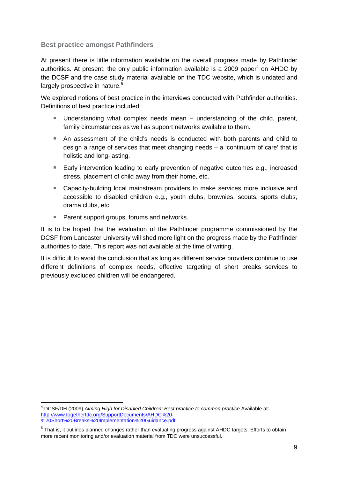#### **Best practice amongst Pathfinders**

At present there is little information available on the overall progress made by Pathfinder authorities. At present, the only public information available is a 2009 paper<sup>4</sup> on AHDC by the DCSF and the case study material available on the TDC website, which is undated and largely prospective in nature. $5$ 

We explored notions of best practice in the interviews conducted with Pathfinder authorities. Definitions of best practice included:

- Understanding what complex needs mean understanding of the child, parent, family circumstances as well as support networks available to them.
- An assessment of the child's needs is conducted with both parents and child to design a range of services that meet changing needs  $-$  a 'continuum of care' that is holistic and long-lasting.
- Early intervention leading to early prevention of negative outcomes e.g., increased stress, placement of child away from their home, etc.
- Capacity-building local mainstream providers to make services more inclusive and accessible to disabled children e.g., youth clubs, brownies, scouts, sports clubs, drama clubs, etc.
- Parent support groups, forums and networks.

It is to be hoped that the evaluation of the Pathfinder programme commissioned by the DCSF from Lancaster University will shed more light on the progress made by the Pathfinder authorities to date. This report was not available at the time of writing.

It is difficult to avoid the conclusion that as long as different service providers continue to use different definitions of complex needs, effective targeting of short breaks services to previously excluded children will be endangered.

 4 DCSF/DH (2009) Aiming High for Disabled Children: Best practice to common practice Available at: http://www.togetherfdc.org/SupportDocuments/AHDC%20- %20Short%20Breaks%20Implementation%20Guidance.pdf

 $^5$  That is, it outlines planned changes rather than evaluating progress against AHDC targets. Efforts to obtain more recent monitoring and/or evaluation material from TDC were unsuccessful.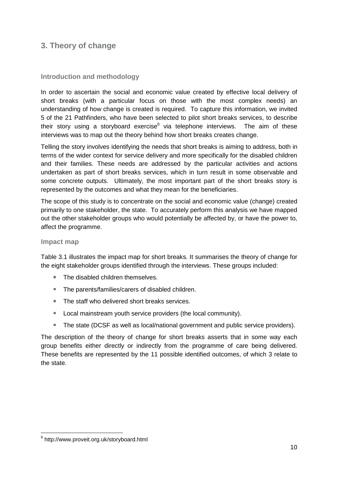## **3. Theory of change**

#### **Introduction and methodology**

In order to ascertain the social and economic value created by effective local delivery of short breaks (with a particular focus on those with the most complex needs) an understanding of how change is created is required. To capture this information, we invited 5 of the 21 Pathfinders, who have been selected to pilot short breaks services, to describe their story using a storyboard exercise<sup>6</sup> via telephone interviews. The aim of these interviews was to map out the theory behind how short breaks creates change.

Telling the story involves identifying the needs that short breaks is aiming to address, both in terms of the wider context for service delivery and more specifically for the disabled children and their families. These needs are addressed by the particular activities and actions undertaken as part of short breaks services, which in turn result in some observable and some concrete outputs. Ultimately, the most important part of the short breaks story is represented by the outcomes and what they mean for the beneficiaries.

The scope of this study is to concentrate on the social and economic value (change) created primarily to one stakeholder, the state. To accurately perform this analysis we have mapped out the other stakeholder groups who would potentially be affected by, or have the power to, affect the programme.

#### **Impact map**

Table 3.1 illustrates the impact map for short breaks. It summarises the theory of change for the eight stakeholder groups identified through the interviews. These groups included:

- The disabled children themselves.
- The parents/families/carers of disabled children.
- The staff who delivered short breaks services.
- **Local mainstream youth service providers (the local community).**
- The state (DCSF as well as local/national government and public service providers).

The description of the theory of change for short breaks asserts that in some way each group benefits either directly or indirectly from the programme of care being delivered. These benefits are represented by the 11 possible identified outcomes, of which 3 relate to the state.

 6 http://www.proveit.org.uk/storyboard.html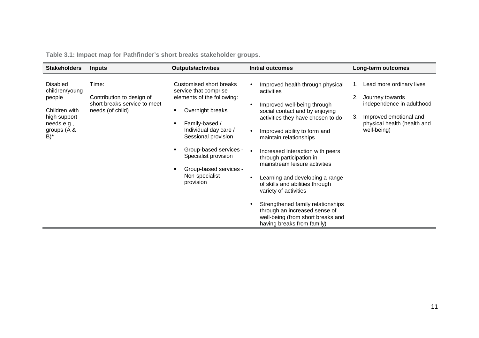| <b>Stakeholders</b>                                                                                                     | <b>Inputs</b>                                                                          | <b>Outputs/activities</b>                                                                                                                                                                                                                                                                                        | Initial outcomes                                                                                                                                                                                                                                                                                                                                                                                                                                                                                                                                        | Long-term outcomes                                                                                                                                                 |
|-------------------------------------------------------------------------------------------------------------------------|----------------------------------------------------------------------------------------|------------------------------------------------------------------------------------------------------------------------------------------------------------------------------------------------------------------------------------------------------------------------------------------------------------------|---------------------------------------------------------------------------------------------------------------------------------------------------------------------------------------------------------------------------------------------------------------------------------------------------------------------------------------------------------------------------------------------------------------------------------------------------------------------------------------------------------------------------------------------------------|--------------------------------------------------------------------------------------------------------------------------------------------------------------------|
| <b>Disabled</b><br>children/young<br>people<br>Children with<br>high support<br>needs e.g.,<br>groups $(A \&$<br>$B)^*$ | Time:<br>Contribution to design of<br>short breaks service to meet<br>needs (of child) | Customised short breaks<br>service that comprise<br>elements of the following:<br>Overnight breaks<br>$\blacksquare$<br>Family-based /<br>٠<br>Individual day care /<br>Sessional provision<br>Group-based services -<br>٠<br>Specialist provision<br>Group-based services -<br>٠<br>Non-specialist<br>provision | Improved health through physical<br>activities<br>Improved well-being through<br>social contact and by enjoying<br>activities they have chosen to do<br>Improved ability to form and<br>maintain relationships<br>Increased interaction with peers<br>through participation in<br>mainstream leisure activities<br>Learning and developing a range<br>of skills and abilities through<br>variety of activities<br>Strengthened family relationships<br>through an increased sense of<br>well-being (from short breaks and<br>having breaks from family) | Lead more ordinary lives<br>1.<br>2.<br>Journey towards<br>independence in adulthood<br>3.<br>Improved emotional and<br>physical health (health and<br>well-being) |

**Table 3.1: Impact map for Pathfinder's short breaks stakeholder groups.**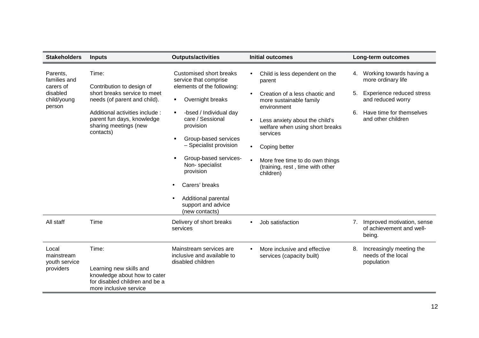| <b>Stakeholders</b>                                                        | <b>Inputs</b>                                                                                                                                                                                             | <b>Outputs/activities</b><br><b>Initial outcomes</b>                                                                                                                                                                                                                                                                                                                                         |                                                                                                                                                                                                                                                                                                                                                   |                | Long-term outcomes                                                                                                                                           |
|----------------------------------------------------------------------------|-----------------------------------------------------------------------------------------------------------------------------------------------------------------------------------------------------------|----------------------------------------------------------------------------------------------------------------------------------------------------------------------------------------------------------------------------------------------------------------------------------------------------------------------------------------------------------------------------------------------|---------------------------------------------------------------------------------------------------------------------------------------------------------------------------------------------------------------------------------------------------------------------------------------------------------------------------------------------------|----------------|--------------------------------------------------------------------------------------------------------------------------------------------------------------|
| Parents,<br>families and<br>carers of<br>disabled<br>child/young<br>person | Time:<br>Contribution to design of<br>short breaks service to meet<br>needs (of parent and child).<br>Additional activities include :<br>parent fun days, knowledge<br>sharing meetings (new<br>contacts) | Customised short breaks<br>service that comprise<br>elements of the following:<br>Overnight breaks<br>$\blacksquare$<br>-bsed / Individual day<br>care / Sessional<br>provision<br>Group-based services<br>٠<br>- Specialist provision<br>Group-based services-<br>Non-specialist<br>provision<br>Carers' breaks<br>Additional parental<br>$\bullet$<br>support and advice<br>(new contacts) | Child is less dependent on the<br>$\bullet$<br>parent<br>Creation of a less chaotic and<br>$\bullet$<br>more sustainable family<br>environment<br>Less anxiety about the child's<br>welfare when using short breaks<br>services<br>Coping better<br>$\bullet$<br>More free time to do own things<br>(training, rest, time with other<br>children) | 5.<br>6.       | 4. Working towards having a<br>more ordinary life<br><b>Experience reduced stress</b><br>and reduced worry<br>Have time for themselves<br>and other children |
| All staff                                                                  | Time                                                                                                                                                                                                      | Delivery of short breaks<br>services                                                                                                                                                                                                                                                                                                                                                         | Job satisfaction<br>$\bullet$                                                                                                                                                                                                                                                                                                                     | 7 <sub>1</sub> | Improved motivation, sense<br>of achievement and well-<br>being.                                                                                             |
| Local<br>mainstream<br>youth service<br>providers                          | Time:<br>Learning new skills and<br>knowledge about how to cater<br>for disabled children and be a<br>more inclusive service                                                                              | Mainstream services are<br>inclusive and available to<br>disabled children                                                                                                                                                                                                                                                                                                                   | More inclusive and effective<br>services (capacity built)                                                                                                                                                                                                                                                                                         | 8.             | Increasingly meeting the<br>needs of the local<br>population                                                                                                 |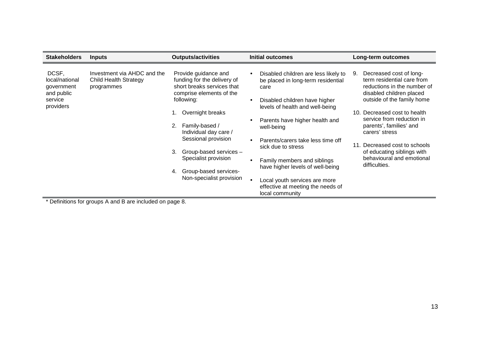| <b>Stakeholders</b>                                                         | <b>Inputs</b>                                                      | <b>Outputs/activities</b>                                                                                                                                                                                                                                                                                                                  | <b>Initial outcomes</b>                                                                                                                                                                                                                                                                                                                                                                                                                                                           | Long-term outcomes                                                                                                                                                                                                                                                                                                                                                             |
|-----------------------------------------------------------------------------|--------------------------------------------------------------------|--------------------------------------------------------------------------------------------------------------------------------------------------------------------------------------------------------------------------------------------------------------------------------------------------------------------------------------------|-----------------------------------------------------------------------------------------------------------------------------------------------------------------------------------------------------------------------------------------------------------------------------------------------------------------------------------------------------------------------------------------------------------------------------------------------------------------------------------|--------------------------------------------------------------------------------------------------------------------------------------------------------------------------------------------------------------------------------------------------------------------------------------------------------------------------------------------------------------------------------|
| DCSF,<br>local/national<br>government<br>and public<br>service<br>providers | Investment via AHDC and the<br>Child Health Strategy<br>programmes | Provide guidance and<br>funding for the delivery of<br>short breaks services that<br>comprise elements of the<br>following:<br>Overnight breaks<br>Family-based /<br>2.<br>Individual day care /<br>Sessional provision<br>Group-based services -<br>3.<br>Specialist provision<br>Group-based services-<br>4.<br>Non-specialist provision | Disabled children are less likely to<br>$\bullet$<br>be placed in long-term residential<br>care<br>Disabled children have higher<br>$\bullet$<br>levels of health and well-being<br>Parents have higher health and<br>well-being<br>Parents/carers take less time off<br>$\bullet$<br>sick due to stress<br>Family members and siblings<br>$\bullet$<br>have higher levels of well-being<br>Local youth services are more<br>effective at meeting the needs of<br>local community | Decreased cost of long-<br>9.<br>term residential care from<br>reductions in the number of<br>disabled children placed<br>outside of the family home<br>10. Decreased cost to health<br>service from reduction in<br>parents', families' and<br>carers' stress<br>Decreased cost to schools<br>11.<br>of educating siblings with<br>behavioural and emotional<br>difficulties. |

\* Definitions for groups A and B are included on page 8.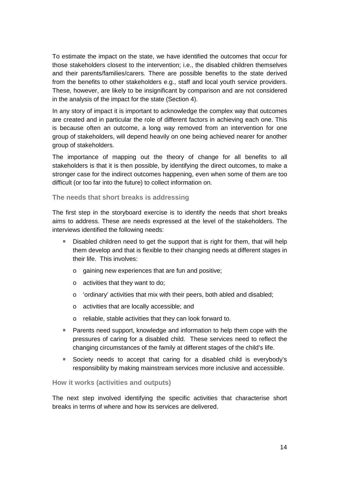To estimate the impact on the state, we have identified the outcomes that occur for those stakeholders closest to the intervention; i.e., the disabled children themselves and their parents/families/carers. There are possible benefits to the state derived from the benefits to other stakeholders e.g., staff and local youth service providers. These, however, are likely to be insignificant by comparison and are not considered in the analysis of the impact for the state (Section 4).

In any story of impact it is important to acknowledge the complex way that outcomes are created and in particular the role of different factors in achieving each one. This is because often an outcome, a long way removed from an intervention for one group of stakeholders, will depend heavily on one being achieved nearer for another group of stakeholders.

The importance of mapping out the theory of change for all benefits to all stakeholders is that it is then possible, by identifying the direct outcomes, to make a stronger case for the indirect outcomes happening, even when some of them are too difficult (or too far into the future) to collect information on.

#### **The needs that short breaks is addressing**

The first step in the storyboard exercise is to identify the needs that short breaks aims to address. These are needs expressed at the level of the stakeholders. The interviews identified the following needs:

- Disabled children need to get the support that is right for them, that will help them develop and that is flexible to their changing needs at different stages in their life. This involves:
	- o gaining new experiences that are fun and positive;
	- o activities that they want to do;
	- o 'ordinary' activities that mix with their peers, both abled and disabled;
	- o activities that are locally accessible; and
	- o reliable, stable activities that they can look forward to.
- Parents need support, knowledge and information to help them cope with the pressures of caring for a disabled child. These services need to reflect the changing circumstances of the family at different stages of the child's life.
- Society needs to accept that caring for a disabled child is everybody's responsibility by making mainstream services more inclusive and accessible.

#### **How it works (activities and outputs)**

The next step involved identifying the specific activities that characterise short breaks in terms of where and how its services are delivered.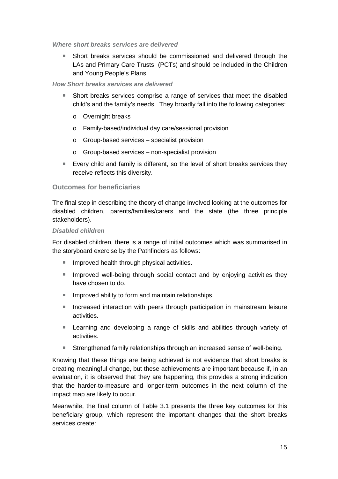#### **Where short breaks services are delivered**

 Short breaks services should be commissioned and delivered through the LAs and Primary Care Trusts (PCTs) and should be included in the Children and Young People's Plans.

#### **How Short breaks services are delivered**

- Short breaks services comprise a range of services that meet the disabled child's and the family's needs. They broadly fall into the following categories:
	- o Overnight breaks
	- o Family-based/individual day care/sessional provision
	- o Group-based services specialist provision
	- o Group-based services non-specialist provision
- **Every child and family is different, so the level of short breaks services they** receive reflects this diversity.

#### **Outcomes for beneficiaries**

The final step in describing the theory of change involved looking at the outcomes for disabled children, parents/families/carers and the state (the three principle stakeholders).

#### **Disabled children**

For disabled children, there is a range of initial outcomes which was summarised in the storyboard exercise by the Pathfinders as follows:

- Improved health through physical activities.
- **IMPROVED WELL-DEMIGENTY INCOVERGY** CONTACT and by enjoying activities they have chosen to do.
- **IMPROVED ADILATATE:** Improved ability to form and maintain relationships.
- **Increased interaction with peers through participation in mainstream leisure** activities.
- Learning and developing a range of skills and abilities through variety of activities.
- Strengthened family relationships through an increased sense of well-being.

Knowing that these things are being achieved is not evidence that short breaks is creating meaningful change, but these achievements are important because if, in an evaluation, it is observed that they are happening, this provides a strong indication that the harder-to-measure and longer-term outcomes in the next column of the impact map are likely to occur.

Meanwhile, the final column of Table 3.1 presents the three key outcomes for this beneficiary group, which represent the important changes that the short breaks services create: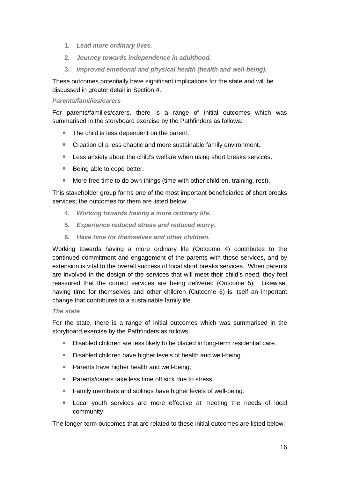- **1. Lead more ordinary lives.**
- **2. Journey towards independence in adulthood.**
- **3. Improved emotional and physical health (health and well-being).**

These outcomes potentially have significant implications for the state and will be discussed in greater detail in Section 4.

#### **Parents/families/carers**

For parents/families/carers, there is a range of initial outcomes which was summarised in the storyboard exercise by the Pathfinders as follows:

- The child is less dependent on the parent.
- Creation of a less chaotic and more sustainable family environment.
- **EXELLESS** anxiety about the child's welfare when using short breaks services.
- $\blacksquare$  Being able to cope better.
- **More free time to do own things (time with other children, training, rest).**

This stakeholder group forms one of the most important beneficiaries of short breaks services; the outcomes for them are listed below:

- **4. Working towards having a more ordinary life.**
- **5. Experience reduced stress and reduced worry.**
- **6. Have time for themselves and other children.**

Working towards having a more ordinary life (Outcome 4) contributes to the continued commitment and engagement of the parents with these services, and by extension is vital to the overall success of local short breaks services. When parents are involved in the design of the services that will meet their child's need, they feel reassured that the correct services are being delivered (Outcome 5). Likewise, having time for themselves and other children (Outcome 6) is itself an important change that contributes to a sustainable family life.

#### **The state**

For the state, there is a range of initial outcomes which was summarised in the storyboard exercise by the Pathfinders as follows:

- **Disabled children are less likely to be placed in long-term residential care.**
- Disabled children have higher levels of health and well-being.
- **Parents have higher health and well-being.**
- Parents/carers take less time off sick due to stress.
- Family members and siblings have higher levels of well-being.
- **Local youth services are more effective at meeting the needs of local** community.

The longer-term outcomes that are related to these initial outcomes are listed below: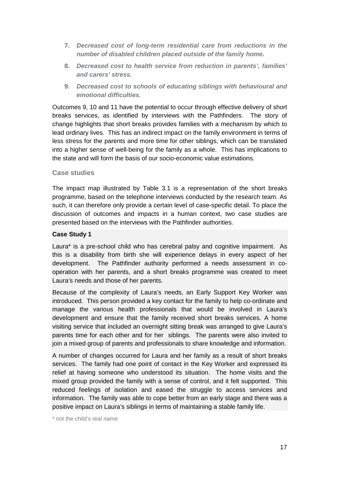- **7. Decreased cost of long-term residential care from reductions in the number of disabled children placed outside of the family home.**
- **8. Decreased cost to health service from reduction in parents', families' and carers' stress.**
- **9. Decreased cost to schools of educating siblings with behavioural and emotional difficulties.**

Outcomes 9, 10 and 11 have the potential to occur through effective delivery of short breaks services, as identified by interviews with the Pathfinders. The story of change highlights that short breaks provides families with a mechanism by which to lead ordinary lives. This has an indirect impact on the family environment in terms of less stress for the parents and more time for other siblings, which can be translated into a higher sense of well-being for the family as a whole. This has implications to the state and will form the basis of our socio-economic value estimations.

#### **Case studies**

The impact map illustrated by Table 3.1 is a representation of the short breaks programme, based on the telephone interviews conducted by the research team. As such, it can therefore only provide a certain level of case-specific detail. To place the discussion of outcomes and impacts in a human context, two case studies are presented based on the interviews with the Pathfinder authorities.

#### **Case Study 1**

Laura\* is a pre-school child who has cerebral palsy and cognitive impairment. As this is a disability from birth she will experience delays in every aspect of her development. The Pathfinder authority performed a needs assessment in cooperation with her parents, and a short breaks programme was created to meet Laura's needs and those of her parents.

Because of the complexity of Laura's needs, an Early Support Key Worker was introduced. This person provided a key contact for the family to help co-ordinate and manage the various health professionals that would be involved in Laura's development and ensure that the family received short breaks services. A home visiting service that included an overnight sitting break was arranged to give Laura's parents time for each other and for her siblings. The parents were also invited to join a mixed group of parents and professionals to share knowledge and information.

A number of changes occurred for Laura and her family as a result of short breaks services. The family had one point of contact in the Key Worker and expressed its relief at having someone who understood its situation. The home visits and the mixed group provided the family with a sense of control, and it felt supported. This reduced feelings of isolation and eased the struggle to access services and information. The family was able to cope better from an early stage and there was a positive impact on Laura's siblings in terms of maintaining a stable family life.

\* not the child's real name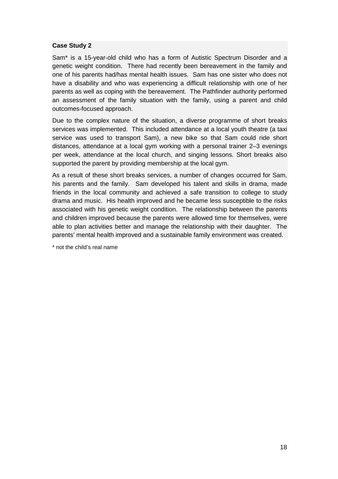#### **Case Study 2**

Sam\* is a 15-year-old child who has a form of Autistic Spectrum Disorder and a genetic weight condition. There had recently been bereavement in the family and one of his parents had/has mental health issues. Sam has one sister who does not have a disability and who was experiencing a difficult relationship with one of her parents as well as coping with the bereavement. The Pathfinder authority performed an assessment of the family situation with the family, using a parent and child outcomes-focused approach.

Due to the complex nature of the situation, a diverse programme of short breaks services was implemented. This included attendance at a local youth theatre (a taxi service was used to transport Sam), a new bike so that Sam could ride short distances, attendance at a local gym working with a personal trainer 2–3 evenings per week, attendance at the local church, and singing lessons. Short breaks also supported the parent by providing membership at the local gym.

As a result of these short breaks services, a number of changes occurred for Sam, his parents and the family. Sam developed his talent and skills in drama, made friends in the local community and achieved a safe transition to college to study drama and music. His health improved and he became less susceptible to the risks associated with his genetic weight condition. The relationship between the parents and children improved because the parents were allowed time for themselves, were able to plan activities better and manage the relationship with their daughter. The parents' mental health improved and a sustainable family environment was created.

\* not the child's real name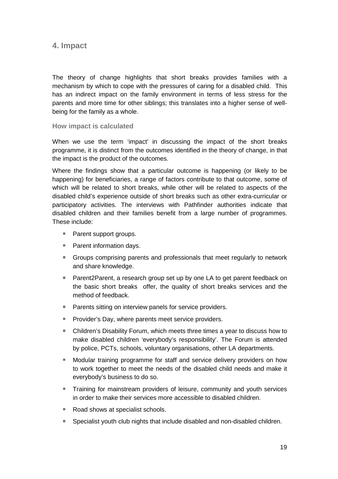#### **4. Impact**

The theory of change highlights that short breaks provides families with a mechanism by which to cope with the pressures of caring for a disabled child. This has an indirect impact on the family environment in terms of less stress for the parents and more time for other siblings; this translates into a higher sense of wellbeing for the family as a whole.

#### **How impact is calculated**

When we use the term 'impact' in discussing the impact of the short breaks programme, it is distinct from the outcomes identified in the theory of change, in that the impact is the product of the outcomes.

Where the findings show that a particular outcome is happening (or likely to be happening) for beneficiaries, a range of factors contribute to that outcome, some of which will be related to short breaks, while other will be related to aspects of the disabled child's experience outside of short breaks such as other extra-curricular or participatory activities. The interviews with Pathfinder authorities indicate that disabled children and their families benefit from a large number of programmes. These include:

- Parent support groups.
- **Parent information days.**
- Groups comprising parents and professionals that meet regularly to network and share knowledge.
- Parent2Parent, a research group set up by one LA to get parent feedback on the basic short breaks offer, the quality of short breaks services and the method of feedback.
- Parents sitting on interview panels for service providers.
- **Provider's Day, where parents meet service providers.**
- Children's Disability Forum, which meets three times a year to discuss how to make disabled children 'everybody's responsibility'. The Forum is attended by police, PCTs, schools, voluntary organisations, other LA departments.
- Modular training programme for staff and service delivery providers on how to work together to meet the needs of the disabled child needs and make it everybody's business to do so.
- Training for mainstream providers of leisure, community and youth services in order to make their services more accessible to disabled children.
- Road shows at specialist schools.
- Specialist youth club nights that include disabled and non-disabled children.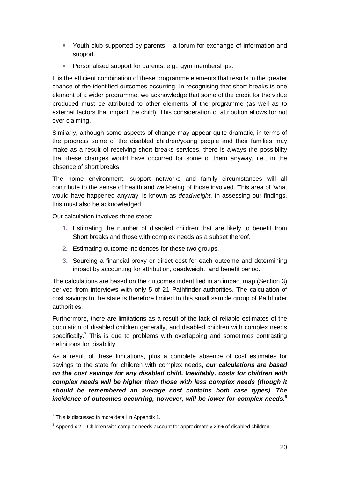- Youth club supported by parents a forum for exchange of information and support.
- Personalised support for parents, e.g., gym memberships.

It is the efficient combination of these programme elements that results in the greater chance of the identified outcomes occurring. In recognising that short breaks is one element of a wider programme, we acknowledge that some of the credit for the value produced must be attributed to other elements of the programme (as well as to external factors that impact the child). This consideration of attribution allows for not over claiming.

Similarly, although some aspects of change may appear quite dramatic, in terms of the progress some of the disabled children/young people and their families may make as a result of receiving short breaks services, there is always the possibility that these changes would have occurred for some of them anyway, i.e., in the absence of short breaks.

The home environment, support networks and family circumstances will all contribute to the sense of health and well-being of those involved. This area of 'what would have happened anyway' is known as deadweight. In assessing our findings, this must also be acknowledged.

Our calculation involves three steps:

- **1.** Estimating the number of disabled children that are likely to benefit from Short breaks and those with complex needs as a subset thereof.
- **2.** Estimating outcome incidences for these two groups.
- **3.** Sourcing a financial proxy or direct cost for each outcome and determining impact by accounting for attribution, deadweight, and benefit period.

The calculations are based on the outcomes indentified in an impact map (Section 3) derived from interviews with only 5 of 21 Pathfinder authorities. The calculation of cost savings to the state is therefore limited to this small sample group of Pathfinder authorities.

Furthermore, there are limitations as a result of the lack of reliable estimates of the population of disabled children generally, and disabled children with complex needs specifically.<sup>7</sup> This is due to problems with overlapping and sometimes contrasting definitions for disability.

As a result of these limitations, plus a complete absence of cost estimates for savings to the state for children with complex needs, **our calculations are based on the cost savings for any disabled child. Inevitably, costs for children with complex needs will be higher than those with less complex needs (though it should be remembered an average cost contains both case types). The incidence of outcomes occurring, however, will be lower for complex needs.<sup>8</sup>**

 7 This is discussed in more detail in Appendix 1.

 $8$  Appendix 2 – Children with complex needs account for approximately 29% of disabled children.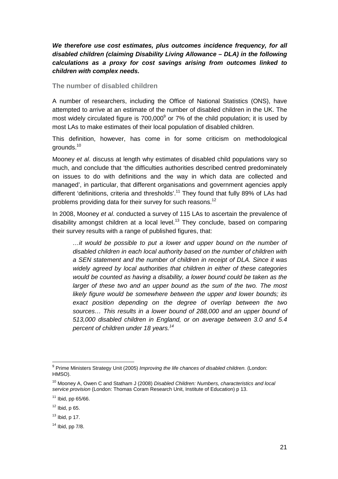**We therefore use cost estimates, plus outcomes incidence frequency, for all disabled children (claiming Disability Living Allowance – DLA) in the following calculations as a proxy for cost savings arising from outcomes linked to children with complex needs.**

**The number of disabled children** 

A number of researchers, including the Office of National Statistics (ONS), have attempted to arrive at an estimate of the number of disabled children in the UK. The most widely circulated figure is  $700,000^9$  or  $7\%$  of the child population; it is used by most LAs to make estimates of their local population of disabled children.

This definition, however, has come in for some criticism on methodological grounds.<sup>10</sup>

Mooney et al. discuss at length why estimates of disabled child populations vary so much, and conclude that 'the difficulties authorities described centred predominately on issues to do with definitions and the way in which data are collected and managed', in particular, that different organisations and government agencies apply different 'definitions, criteria and thresholds'.<sup>11</sup> They found that fully 89% of LAs had problems providing data for their survey for such reasons.<sup>12</sup>

In 2008, Mooney et al. conducted a survey of 115 LAs to ascertain the prevalence of disability amongst children at a local level.<sup>13</sup> They conclude, based on comparing their survey results with a range of published figures, that:

…it would be possible to put a lower and upper bound on the number of disabled children in each local authority based on the number of children with a SEN statement and the number of children in receipt of DLA. Since it was widely agreed by local authorities that children in either of these categories would be counted as having a disability, a lower bound could be taken as the larger of these two and an upper bound as the sum of the two. The most likely figure would be somewhere between the upper and lower bounds; its exact position depending on the degree of overlap between the two sources… This results in a lower bound of 288,000 and an upper bound of 513,000 disabled children in England, or on average between 3.0 and 5.4 percent of children under 18 years.<sup>14</sup>

<sup>9&</sup>lt;br><sup>9</sup> Prime Ministers Strategy Unit (2005) *Improving the life chances of disabled children.* (London: HMSO).

<sup>&</sup>lt;sup>10</sup> Mooney A, Owen C and Statham J (2008) Disabled Children: Numbers, characteristics and local service provision (London: Thomas Coram Research Unit, Institute of Education) p 13.

 $11$  Ibid, pp 65/66.

 $12$  Ibid, p 65.

 $13$  Ibid, p 17.

 $14$  Ibid, pp  $7/8$ .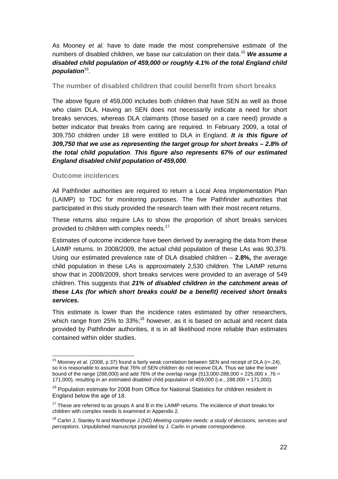As Mooney et al. have to date made the most comprehensive estimate of the numbers of disabled children, we base our calculation on their data.<sup>15</sup> **We assume a disabled child population of 459,000 or roughly 4.1% of the total England child population**<sup>16</sup> .

**The number of disabled children that could benefit from short breaks** 

The above figure of 459,000 includes both children that have SEN as well as those who claim DLA. Having an SEN does not necessarily indicate a need for short breaks services, whereas DLA claimants (those based on a care need) provide a better indicator that breaks from caring are required. In February 2009, a total of 309,750 children under 18 were entitled to DLA in England. **It is this figure of 309,750 that we use as representing the target group for short breaks – 2.8% of the total child population**. **This figure also represents 67% of our estimated England disabled child population of 459,000**.

#### **Outcome incidences**

All Pathfinder authorities are required to return a Local Area Implementation Plan (LAIMP) to TDC for monitoring purposes. The five Pathfinder authorities that participated in this study provided the research team with their most recent returns.

These returns also require LAs to show the proportion of short breaks services provided to children with complex needs.<sup>17</sup>

Estimates of outcome incidence have been derived by averaging the data from these LAIMP returns. In 2008/2009, the actual child population of these LAs was 90,379. Using our estimated prevalence rate of DLA disabled children – **2.8%,** the average child population in these LAs is approximately 2,530 children. The LAIMP returns show that in 2008/2009, short breaks services were provided to an average of 549 children. This suggests that **21% of disabled children in the catchment areas of these LAs (for which short breaks could be a benefit) received short breaks services.** 

This estimate is lower than the incidence rates estimated by other researchers, which range from 25% to 33%;<sup>18</sup> however, as it is based on actual and recent data provided by Pathfinder authorities, it is in all likelihood more reliable than estimates contained within older studies.

 $\overline{a}$ <sup>15</sup> Mooney et al. (2008, p 37) found a fairly weak correlation between SEN and receipt of DLA (r=.24), so it is reasonable to assume that 76% of SEN children do not receive DLA. Thus we take the lower bound of the range (288,000) and add 76% of the overlap range (513,000-288,000 = 225,000 x .76 = 171,000), resulting in an estimated disabled child population of 459,000 (i.e., 288,000 + 171,000).

<sup>&</sup>lt;sup>16</sup> Population estimate for 2008 from Office for National Statistics for children resident in England below the age of 18.

<sup>&</sup>lt;sup>17</sup> These are referred to as groups A and B in the LAIMP returns. The incidence of short breaks for children with complex needs is examined in Appendix 2.

<sup>&</sup>lt;sup>18</sup> Carlin J. Stanley N and Manthorpe J (ND) Meeting complex needs: a study of decisions, services and perceptions. Unpublished manuscript provided by J. Carlin in private correspondence.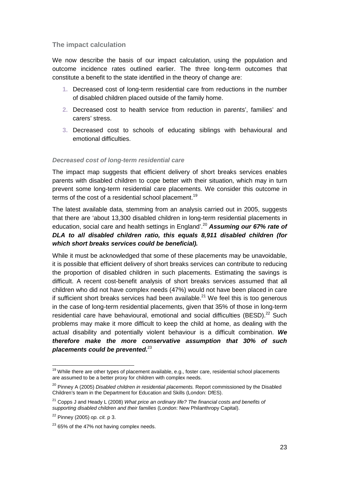#### **The impact calculation**

We now describe the basis of our impact calculation, using the population and outcome incidence rates outlined earlier. The three long-term outcomes that constitute a benefit to the state identified in the theory of change are:

- **1.** Decreased cost of long-term residential care from reductions in the number of disabled children placed outside of the family home.
- **2.** Decreased cost to health service from reduction in parents', families' and carers' stress.
- **3.** Decreased cost to schools of educating siblings with behavioural and emotional difficulties.

#### **Decreased cost of long-term residential care**

The impact map suggests that efficient delivery of short breaks services enables parents with disabled children to cope better with their situation, which may in turn prevent some long-term residential care placements. We consider this outcome in terms of the cost of a residential school placement.<sup>19</sup>

The latest available data, stemming from an analysis carried out in 2005, suggests that there are 'about 13,300 disabled children in long-term residential placements in education, social care and health settings in England'.<sup>20</sup> **Assuming our 67% rate of DLA to all disabled children ratio, this equals 8,911 disabled children (for which short breaks services could be beneficial).** 

While it must be acknowledged that some of these placements may be unavoidable, it is possible that efficient delivery of short breaks services can contribute to reducing the proportion of disabled children in such placements. Estimating the savings is difficult. A recent cost-benefit analysis of short breaks services assumed that all children who did not have complex needs (47%) would not have been placed in care if sufficient short breaks services had been available.<sup>21</sup> We feel this is too generous in the case of long-term residential placements, given that 35% of those in long-term residential care have behavioural, emotional and social difficulties (BESD).<sup>22</sup> Such problems may make it more difficult to keep the child at home, as dealing with the actual disability and potentially violent behaviour is a difficult combination. **We therefore make the more conservative assumption that 30% of such placements could be prevented.**<sup>23</sup>

 $\overline{a}$ 

 $19$  While there are other types of placement available, e.g., foster care, residential school placements are assumed to be a better proxy for children with complex needs.

 $20$  Pinney A (2005) Disabled children in residential placements. Report commissioned by the Disabled Children's team in the Department for Education and Skills (London: DfES).

 $21$  Copps J and Heady L (2008) What price an ordinary life? The financial costs and benefits of supporting disabled children and their families (London: New Philanthropy Capital).

 $22$  Pinney (2005) op. cit. p 3.

 $23$  65% of the 47% not having complex needs.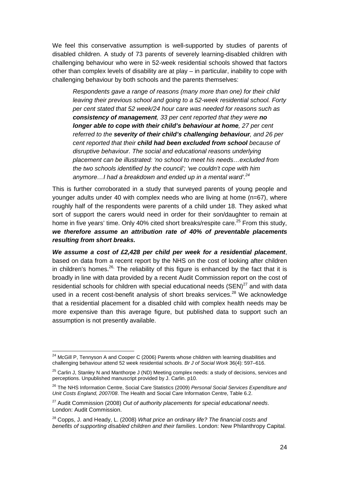We feel this conservative assumption is well-supported by studies of parents of disabled children. A study of 73 parents of severely learning-disabled children with challenging behaviour who were in 52-week residential schools showed that factors other than complex levels of disability are at play – in particular, inability to cope with challenging behaviour by both schools and the parents themselves:

Respondents gave a range of reasons (many more than one) for their child leaving their previous school and going to a 52-week residential school. Forty per cent stated that 52 week/24 hour care was needed for reasons such as **consistency of management**, 33 per cent reported that they were **no longer able to cope with their child's behaviour at home**, 27 per cent referred to the **severity of their child's challenging behaviour**, and 26 per cent reported that their **child had been excluded from school** because of disruptive behaviour. The social and educational reasons underlying placement can be illustrated: 'no school to meet his needs…excluded from the two schools identified by the council'; 'we couldn't cope with him anymore...I had a breakdown and ended up in a mental ward'. $^{24}$ 

This is further corroborated in a study that surveyed parents of young people and younger adults under 40 with complex needs who are living at home (n=67), where roughly half of the respondents were parents of a child under 18. They asked what sort of support the carers would need in order for their son/daughter to remain at home in five years' time. Only 40% cited short breaks/respite care.<sup>25</sup> From this study, **we therefore assume an attribution rate of 40% of preventable placements resulting from short breaks.**

**We assume a cost of £2,428 per child per week for a residential placement**, based on data from a recent report by the NHS on the cost of looking after children in children's homes.<sup>26,</sup> The reliability of this figure is enhanced by the fact that it is broadly in line with data provided by a recent Audit Commission report on the cost of residential schools for children with special educational needs  $(SEN)^{27}$  and with data used in a recent cost-benefit analysis of short breaks services.<sup>28</sup> We acknowledge that a residential placement for a disabled child with complex health needs may be more expensive than this average figure, but published data to support such an assumption is not presently available.

 $\overline{a}$  $24$  McGill P, Tennyson A and Cooper C (2006) Parents whose children with learning disabilities and challenging behaviour attend 52 week residential schools. Br J of Social Work 36(4): 597–616.

<sup>&</sup>lt;sup>25</sup> Carlin J, Stanley N and Manthorpe J (ND) Meeting complex needs: a study of decisions, services and perceptions. Unpublished manuscript provided by J. Carlin. p10.

<sup>&</sup>lt;sup>26</sup> The NHS Information Centre, Social Care Statistics (2009) Personal Social Services Expenditure and Unit Costs England, 2007/08. The Health and Social Care Information Centre, Table 6.2.

 $27$  Audit Commission (2008) Out of authority placements for special educational needs. London: Audit Commission.

 $28$  Copps, J. and Heady, L. (2008) What price an ordinary life? The financial costs and benefits of supporting disabled children and their families. London: New Philanthropy Capital.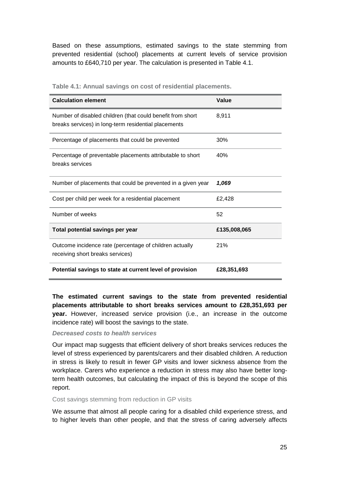Based on these assumptions, estimated savings to the state stemming from prevented residential (school) placements at current levels of service provision amounts to £640,710 per year. The calculation is presented in Table 4.1.

| <b>Calculation element</b>                                                                                         | Value        |
|--------------------------------------------------------------------------------------------------------------------|--------------|
| Number of disabled children (that could benefit from short<br>breaks services) in long-term residential placements | 8.911        |
| Percentage of placements that could be prevented                                                                   | 30%          |
| Percentage of preventable placements attributable to short<br>breaks services                                      | 40%          |
| Number of placements that could be prevented in a given year                                                       | 1,069        |
| Cost per child per week for a residential placement                                                                | £2,428       |
| Number of weeks                                                                                                    | 52           |
| Total potential savings per year                                                                                   | £135,008,065 |
| Outcome incidence rate (percentage of children actually<br>receiving short breaks services)                        | 21%          |
| Potential savings to state at current level of provision                                                           | £28,351,693  |

**Table 4.1: Annual savings on cost of residential placements.**

**The estimated current savings to the state from prevented residential placements attributable to short breaks services amount to £28,351,693 per year.** However, increased service provision (i.e., an increase in the outcome incidence rate) will boost the savings to the state.

#### **Decreased costs to health services**

Our impact map suggests that efficient delivery of short breaks services reduces the level of stress experienced by parents/carers and their disabled children. A reduction in stress is likely to result in fewer GP visits and lower sickness absence from the workplace. Carers who experience a reduction in stress may also have better longterm health outcomes, but calculating the impact of this is beyond the scope of this report.

#### Cost savings stemming from reduction in GP visits

We assume that almost all people caring for a disabled child experience stress, and to higher levels than other people, and that the stress of caring adversely affects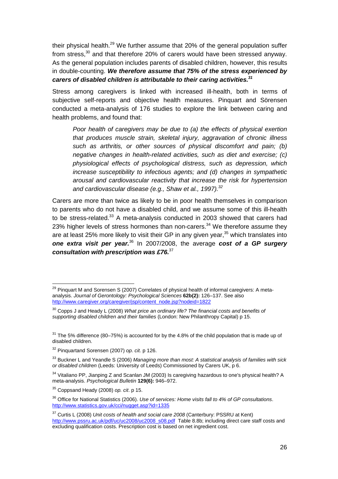their physical health.<sup>29</sup> We further assume that 20% of the general population suffer from stress,<sup>30</sup> and that therefore 20% of carers would have been stressed anyway. As the general population includes parents of disabled children, however, this results in double-counting. **We therefore assume that 75% of the stress experienced by carers of disabled children is attributable to their caring activities.<sup>31</sup>**

Stress among caregivers is linked with increased ill-health, both in terms of subjective self-reports and objective health measures. Pinquart and Sörensen conducted a meta-analysis of 176 studies to explore the link between caring and health problems, and found that:

Poor health of caregivers may be due to (a) the effects of physical exertion that produces muscle strain, skeletal injury, aggravation of chronic illness such as arthritis, or other sources of physical discomfort and pain; (b) negative changes in health-related activities, such as diet and exercise; (c) physiological effects of psychological distress, such as depression, which increase susceptibility to infectious agents; and (d) changes in sympathetic arousal and cardiovascular reactivity that increase the risk for hypertension and cardiovascular disease (e.g., Shaw et al., 1997). $^{32}$ 

Carers are more than twice as likely to be in poor health themselves in comparison to parents who do not have a disabled child, and we assume some of this ill-health to be stress-related.<sup>33</sup> A meta-analysis conducted in 2003 showed that carers had 23% higher levels of stress hormones than non-carers. $34$  We therefore assume they are at least 25% more likely to visit their GP in any given year,<sup>35</sup> which translates into **one extra visit per year.**<sup>36</sup> In 2007/2008, the average **cost of a GP surgery consultation with prescription was £76.**<sup>37</sup>

 $\overline{a}$  $^{29}$  Pinquart M and Sorensen S (2007) Correlates of physical health of informal caregivers: A metaanalysis. Journal of Gerontology: Psychological Sciences **62b(2):** 126–137. See also http://www.caregiver.org/caregiver/jsp/content\_node.jsp?nodeid=1822

 $30$  Copps J and Heady L (2008) What price an ordinary life? The financial costs and benefits of supporting disabled children and their families (London: New Philanthropy Capital) p 15.

 $31$  The 5% difference (80–75%) is accounted for by the 4.8% of the child population that is made up of disabled children.

<sup>&</sup>lt;sup>32</sup> Pinquartand Sorensen (2007) op. cit. p 126.

<sup>&</sup>lt;sup>33</sup> Buckner L and Yeandle S (2006) Managing more than most: A statistical analysis of families with sick or disabled children (Leeds: University of Leeds) Commissioned by Carers UK, p 6.

 $34$  Vitaliano PP, Jianping Z and Scanlan JM (2003) Is caregiving hazardous to one's physical health? A meta-analysis. Psychological Bulletin **129(6):** 946–972.

 $35$  Coppsand Heady (2008) op. cit. p 15.

<sup>&</sup>lt;sup>36</sup> Office for National Statistics (2006). Use of services: Home visits fall to 4% of GP consultations. http://www.statistics.gov.uk/cci/nugget.asp?id=1335

 $37$  Curtis L (2008) Unit costs of health and social care 2008 (Canterbury: PSSRU at Kent) http://www.pssru.ac.uk/pdf/uc/uc2008/uc2008\_s08.pdf Table 8.8b; including direct care staff costs and excluding qualification costs. Prescription cost is based on net ingredient cost.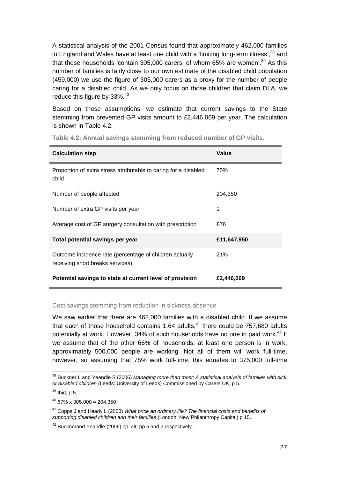A statistical analysis of the 2001 Census found that approximately 462,000 families in England and Wales have at least one child with a 'limiting long-term illness',<sup>38</sup> and that these households 'contain 305,000 carers, of whom 65% are women'.<sup>39</sup> As this number of families is fairly close to our own estimate of the disabled child population (459,000) we use the figure of 305,000 carers as a proxy for the number of people caring for a disabled child. As we only focus on those children that claim DLA, we reduce this figure by 33%.<sup>40</sup>

Based on these assumptions, we estimate that current savings to the State stemming from prevented GP visits amount to £2,446,069 per year. The calculation is shown in Table 4.2.

| <b>Calculation step</b>                                                                     | <b>Value</b> |
|---------------------------------------------------------------------------------------------|--------------|
| Proportion of extra stress attributable to caring for a disabled<br>child                   | 75%          |
| Number of people affected                                                                   | 204,350      |
| Number of extra GP visits per year                                                          | 1            |
| Average cost of GP surgery consultation with prescription                                   | £76          |
| Total potential savings per year                                                            | £11,647,950  |
| Outcome incidence rate (percentage of children actually<br>receiving short breaks services) | 21%          |
| Potential savings to state at current level of provision                                    | £2,446,069   |

**Table 4.2: Annual savings stemming from reduced number of GP visits.** 

#### Cost savings stemming from reduction in sickness absence

We saw earlier that there are 462,000 families with a disabled child. If we assume that each of those household contains 1.64 adults, $41$  there could be 757,680 adults potentially at work. However, 34% of such households have no one in paid work.<sup>42</sup> If we assume that of the other 66% of households, at least one person is in work, approximately 500,000 people are working. Not all of them will work full-time, however, so assuming that 75% work full-time, this equates to 375,000 full-time

 $\overline{a}$ 

 $38$  Buckner L and Yeandle S (2006) Managing more than most: A statistical analysis of families with sick or disabled children (Leeds: University of Leeds) Commissioned by Carers UK, p 5.

 $39$  Ibid, p 5.

 $40$  67% x 305,000 = 204,350

 $41$  Copps J and Heady L (2008) What price an ordinary life? The financial costs and benefits of supporting disabled children and their families (London: New Philanthropy Capital) p 15.

 $42$  Bucknerand Yeandle (2006) *op. cit.* pp 5 and 2 respectively.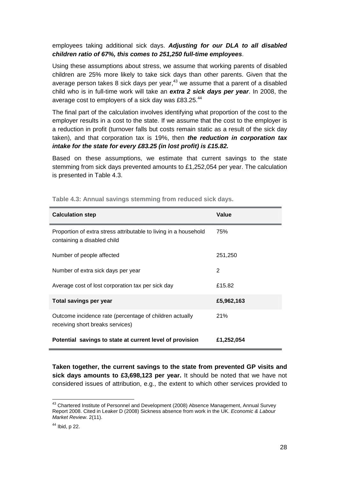#### employees taking additional sick days. **Adjusting for our DLA to all disabled children ratio of 67%, this comes to 251,250 full-time employees**.

Using these assumptions about stress, we assume that working parents of disabled children are 25% more likely to take sick days than other parents. Given that the average person takes 8 sick days per year, $43$  we assume that a parent of a disabled child who is in full-time work will take an **extra 2 sick days per year**. In 2008, the average cost to employers of a sick day was £83.25.<sup>44</sup>

The final part of the calculation involves identifying what proportion of the cost to the employer results in a cost to the state. If we assume that the cost to the employer is a reduction in profit (turnover falls but costs remain static as a result of the sick day taken), and that corporation tax is 19%, then **the reduction in corporation tax intake for the state for every £83.25 (in lost profit) is £15.82.**

Based on these assumptions, we estimate that current savings to the state stemming from sick days prevented amounts to £1,252,054 per year. The calculation is presented in Table 4.3.

| <b>Calculation step</b>                                                                         | Value      |
|-------------------------------------------------------------------------------------------------|------------|
| Proportion of extra stress attributable to living in a household<br>containing a disabled child | 75%        |
| Number of people affected                                                                       | 251,250    |
| Number of extra sick days per year                                                              | 2          |
| Average cost of lost corporation tax per sick day                                               | £15.82     |
| Total savings per year                                                                          | £5,962,163 |
| Outcome incidence rate (percentage of children actually<br>receiving short breaks services)     | 21%        |
| Potential savings to state at current level of provision                                        | £1,252,054 |

**Table 4.3: Annual savings stemming from reduced sick days.** 

**Taken together, the current savings to the state from prevented GP visits and sick days amounts to £3,698,123 per year.** It should be noted that we have not considered issues of attribution, e.g., the extent to which other services provided to

 $\overline{a}$ 

 $43$  Chartered Institute of Personnel and Development (2008) Absence Management, Annual Survey Report 2008. Cited in Leaker D (2008) Sickness absence from work in the UK. Economic & Labour Market Review. 2(11).

 $44$  Ibid, p 22.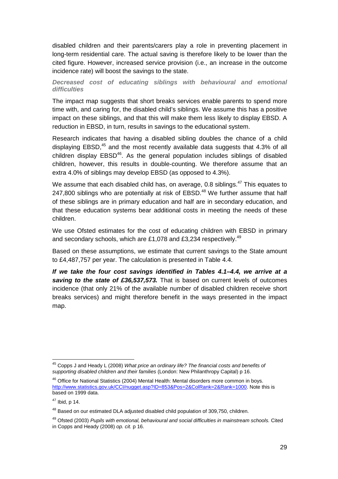disabled children and their parents/carers play a role in preventing placement in long-term residential care. The actual saving is therefore likely to be lower than the cited figure. However, increased service provision (i.e., an increase in the outcome incidence rate) will boost the savings to the state.

**Decreased cost of educating siblings with behavioural and emotional difficulties** 

The impact map suggests that short breaks services enable parents to spend more time with, and caring for, the disabled child's siblings. We assume this has a positive impact on these siblings, and that this will make them less likely to display EBSD. A reduction in EBSD, in turn, results in savings to the educational system.

Research indicates that having a disabled sibling doubles the chance of a child displaying EBSD, $45$  and the most recently available data suggests that 4.3% of all children display  $EBSD^{46}$ . As the general population includes siblings of disabled children, however, this results in double-counting. We therefore assume that an extra 4.0% of siblings may develop EBSD (as opposed to 4.3%).

We assume that each disabled child has, on average, 0.8 siblings. $47$  This equates to 247,800 siblings who are potentially at risk of  $EBSD<sup>48</sup>$  We further assume that half of these siblings are in primary education and half are in secondary education, and that these education systems bear additional costs in meeting the needs of these children.

We use Ofsted estimates for the cost of educating children with EBSD in primary and secondary schools, which are £1,078 and £3,234 respectively.<sup>49</sup>

Based on these assumptions, we estimate that current savings to the State amount to £4,487,757 per year. The calculation is presented in Table 4.4.

**If we take the four cost savings identified in Tables 4.1–4.4, we arrive at a saving to the state of £36,537,573.** That is based on current levels of outcomes incidence (that only 21% of the available number of disabled children receive short breaks services) and might therefore benefit in the ways presented in the impact map.

 $\overline{\phantom{a}}$ 

 $45$  Copps J and Heady L (2008) What price an ordinary life? The financial costs and benefits of supporting disabled children and their families (London: New Philanthropy Capital) p 16.

<sup>&</sup>lt;sup>46</sup> Office for National Statistics (2004) Mental Health: Mental disorders more common in boys. http://www.statistics.gov.uk/CCI/nugget.asp?ID=853&Pos=2&ColRank=2&Rank=1000. Note this is based on 1999 data.

 $47$  Ibid, p 14.

<sup>&</sup>lt;sup>48</sup> Based on our estimated DLA adjusted disabled child population of 309,750, children.

<sup>&</sup>lt;sup>49</sup> Ofsted (2003) Pupils with emotional, behavioural and social difficulties in mainstream schools. Cited in Copps and Heady (2008) op. cit. p 16.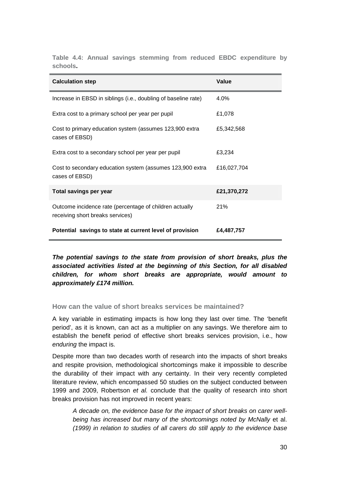**Table 4.4: Annual savings stemming from reduced EBDC expenditure by schools.** 

| <b>Calculation step</b>                                                                     | Value       |
|---------------------------------------------------------------------------------------------|-------------|
| Increase in EBSD in siblings (i.e., doubling of baseline rate)                              | $4.0\%$     |
| Extra cost to a primary school per year per pupil                                           | £1,078      |
| Cost to primary education system (assumes 123,900 extra<br>cases of EBSD)                   | £5,342,568  |
| Extra cost to a secondary school per year per pupil                                         | £3,234      |
| Cost to secondary education system (assumes 123,900 extra<br>cases of EBSD)                 | £16,027,704 |
| <b>Total savings per year</b>                                                               | £21,370,272 |
| Outcome incidence rate (percentage of children actually<br>receiving short breaks services) | 21%         |
| Potential savings to state at current level of provision                                    | £4,487,757  |

**The potential savings to the state from provision of short breaks, plus the associated activities listed at the beginning of this Section, for all disabled children, for whom short breaks are appropriate, would amount to approximately £174 million.** 

**How can the value of short breaks services be maintained?** 

A key variable in estimating impacts is how long they last over time. The 'benefit period', as it is known, can act as a multiplier on any savings. We therefore aim to establish the benefit period of effective short breaks services provision, i.e., how enduring the impact is.

Despite more than two decades worth of research into the impacts of short breaks and respite provision, methodological shortcomings make it impossible to describe the durability of their impact with any certainty. In their very recently completed literature review, which encompassed 50 studies on the subject conducted between 1999 and 2009, Robertson et al. conclude that the quality of research into short breaks provision has not improved in recent years:

A decade on, the evidence base for the impact of short breaks on carer wellbeing has increased but many of the shortcomings noted by McNally et al. (1999) in relation to studies of all carers do still apply to the evidence base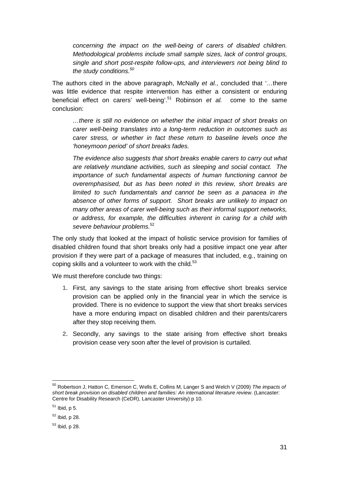concerning the impact on the well-being of carers of disabled children. Methodological problems include small sample sizes, lack of control groups, single and short post-respite follow-ups, and interviewers not being blind to the study conditions.<sup>50</sup>

The authors cited in the above paragraph, McNally *et al.*, concluded that '...there was little evidence that respite intervention has either a consistent or enduring beneficial effect on carers' well-being'.<sup>51</sup> Robinson et al. come to the same conclusion:

…there is still no evidence on whether the initial impact of short breaks on carer well-being translates into a long-term reduction in outcomes such as carer stress, or whether in fact these return to baseline levels once the 'honeymoon period' of short breaks fades.

The evidence also suggests that short breaks enable carers to carry out what are relatively mundane activities, such as sleeping and social contact. The importance of such fundamental aspects of human functioning cannot be overemphasised, but as has been noted in this review, short breaks are limited to such fundamentals and cannot be seen as a panacea in the absence of other forms of support. Short breaks are unlikely to impact on many other areas of carer well-being such as their informal support networks, or address, for example, the difficulties inherent in caring for a child with severe behaviour problems.<sup>52</sup>

The only study that looked at the impact of holistic service provision for families of disabled children found that short breaks only had a positive impact one year after provision if they were part of a package of measures that included, e.g., training on coping skills and a volunteer to work with the child. $53$ 

We must therefore conclude two things:

- **1.** First, any savings to the state arising from effective short breaks service provision can be applied only in the financial year in which the service is provided. There is no evidence to support the view that short breaks services have a more enduring impact on disabled children and their parents/carers after they stop receiving them.
- **2.** Secondly, any savings to the state arising from effective short breaks provision cease very soon after the level of provision is curtailed.

 $\overline{a}$ 

 $^{50}$  Robertson J, Hatton C, Emerson C, Wells E, Collins M, Langer S and Welch V (2009) The impacts of short break provision on disabled children and families: An international literature review. (Lancaster: Centre for Disability Research (CeDR), Lancaster University) p 10.

 $51$  Ibid, p 5.

<sup>52</sup> Ibid, p 28.

 $53$  Ibid, p 28.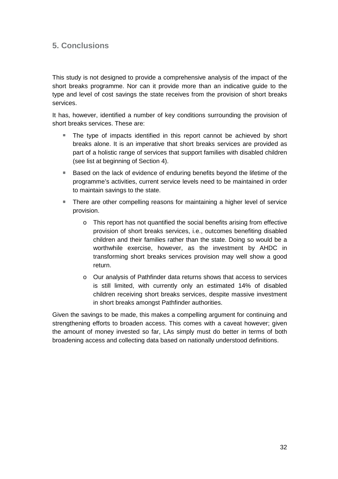## **5. Conclusions**

This study is not designed to provide a comprehensive analysis of the impact of the short breaks programme. Nor can it provide more than an indicative guide to the type and level of cost savings the state receives from the provision of short breaks services.

It has, however, identified a number of key conditions surrounding the provision of short breaks services. These are:

- The type of impacts identified in this report cannot be achieved by short breaks alone. It is an imperative that short breaks services are provided as part of a holistic range of services that support families with disabled children (see list at beginning of Section 4).
- Based on the lack of evidence of enduring benefits beyond the lifetime of the programme's activities, current service levels need to be maintained in order to maintain savings to the state.
- **There are other compelling reasons for maintaining a higher level of service** provision.
	- o This report has not quantified the social benefits arising from effective provision of short breaks services, i.e., outcomes benefiting disabled children and their families rather than the state. Doing so would be a worthwhile exercise, however, as the investment by AHDC in transforming short breaks services provision may well show a good return.
	- o Our analysis of Pathfinder data returns shows that access to services is still limited, with currently only an estimated 14% of disabled children receiving short breaks services, despite massive investment in short breaks amongst Pathfinder authorities.

Given the savings to be made, this makes a compelling argument for continuing and strengthening efforts to broaden access. This comes with a caveat however; given the amount of money invested so far, LAs simply must do better in terms of both broadening access and collecting data based on nationally understood definitions.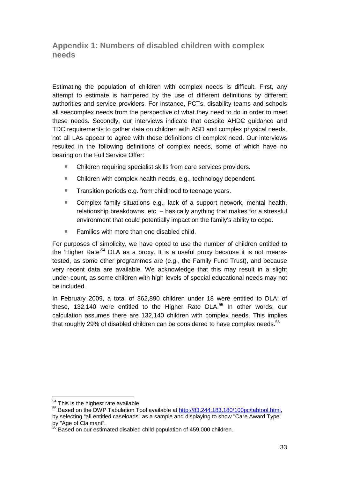## **Appendix 1: Numbers of disabled children with complex needs**

Estimating the population of children with complex needs is difficult. First, any attempt to estimate is hampered by the use of different definitions by different authorities and service providers. For instance, PCTs, disability teams and schools all seecomplex needs from the perspective of what they need to do in order to meet these needs. Secondly, our interviews indicate that despite AHDC guidance and TDC requirements to gather data on children with ASD and complex physical needs, not all LAs appear to agree with these definitions of complex need. Our interviews resulted in the following definitions of complex needs, some of which have no bearing on the Full Service Offer:

- Children requiring specialist skills from care services providers.
- Children with complex health needs, e.g., technology dependent.
- Transition periods e.g. from childhood to teenage vears.
- Complex family situations e.g., lack of a support network, mental health, relationship breakdowns, etc. – basically anything that makes for a stressful environment that could potentially impact on the family's ability to cope.
- Families with more than one disabled child.

For purposes of simplicity, we have opted to use the number of children entitled to the 'Higher Rate'<sup>54</sup> DLA as a proxy. It is a useful proxy because it is not meanstested, as some other programmes are (e.g., the Family Fund Trust), and because very recent data are available. We acknowledge that this may result in a slight under-count, as some children with high levels of special educational needs may not be included.

In February 2009, a total of 362,890 children under 18 were entitled to DLA; of these, 132,140 were entitled to the Higher Rate DLA.<sup>55</sup> In other words, our calculation assumes there are 132,140 children with complex needs. This implies that roughly 29% of disabled children can be considered to have complex needs. $56$ 

 $\overline{a}$ 

 $54$  This is the highest rate available.

<sup>&</sup>lt;sup>55</sup> Based on the DWP Tabulation Tool available at http://83.244.183.180/100pc/tabtool.html, by selecting "all entitled caseloads" as a sample and displaying to show "Care Award Type" by "Age of Claimant".

<sup>56</sup> Based on our estimated disabled child population of 459,000 children.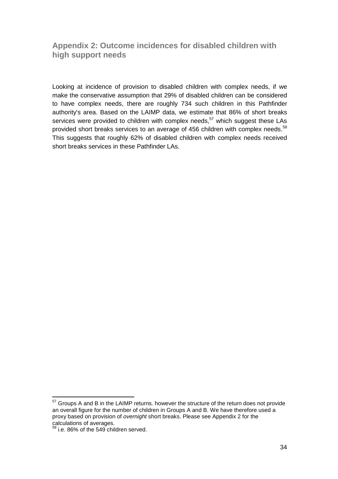## **Appendix 2: Outcome incidences for disabled children with high support needs**

Looking at incidence of provision to disabled children with complex needs, if we make the conservative assumption that 29% of disabled children can be considered to have complex needs, there are roughly 734 such children in this Pathfinder authority's area. Based on the LAIMP data, we estimate that 86% of short breaks services were provided to children with complex needs, $57$  which suggest these LAs provided short breaks services to an average of 456 children with complex needs.<sup>58</sup> This suggests that roughly 62% of disabled children with complex needs received short breaks services in these Pathfinder LAs.

 $\overline{a}$ 

 $57$  Groups A and B in the LAIMP returns. however the structure of the return does not provide an overall figure for the number of children in Groups A and B. We have therefore used a proxy based on provision of overnight short breaks. Please see Appendix 2 for the calculations of averages.

 $3^8$  i.e. 86% of the 549 children served.